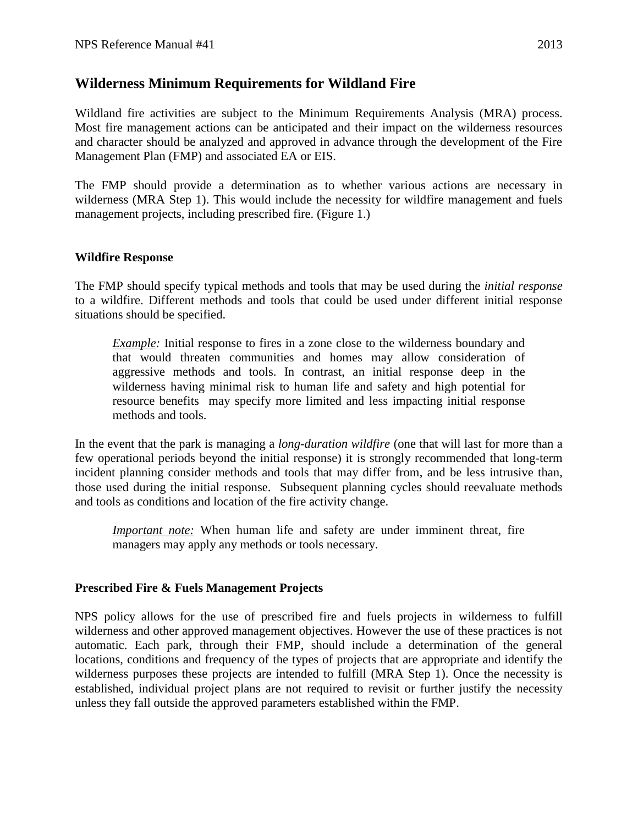## **Wilderness Minimum Requirements for Wildland Fire**

Wildland fire activities are subject to the Minimum Requirements Analysis (MRA) process. Most fire management actions can be anticipated and their impact on the wilderness resources and character should be analyzed and approved in advance through the development of the Fire Management Plan (FMP) and associated EA or EIS.

The FMP should provide a determination as to whether various actions are necessary in wilderness (MRA Step 1). This would include the necessity for wildfire management and fuels management projects, including prescribed fire. (Figure 1.)

## **Wildfire Response**

The FMP should specify typical methods and tools that may be used during the *initial response* to a wildfire. Different methods and tools that could be used under different initial response situations should be specified.

*Example:* Initial response to fires in a zone close to the wilderness boundary and that would threaten communities and homes may allow consideration of aggressive methods and tools. In contrast, an initial response deep in the wilderness having minimal risk to human life and safety and high potential for resource benefits may specify more limited and less impacting initial response methods and tools.

In the event that the park is managing a *long-duration wildfire* (one that will last for more than a few operational periods beyond the initial response) it is strongly recommended that long-term incident planning consider methods and tools that may differ from, and be less intrusive than, those used during the initial response. Subsequent planning cycles should reevaluate methods and tools as conditions and location of the fire activity change.

*Important note:* When human life and safety are under imminent threat, fire managers may apply any methods or tools necessary.

## **Prescribed Fire & Fuels Management Projects**

NPS policy allows for the use of prescribed fire and fuels projects in wilderness to fulfill wilderness and other approved management objectives. However the use of these practices is not automatic. Each park, through their FMP, should include a determination of the general locations, conditions and frequency of the types of projects that are appropriate and identify the wilderness purposes these projects are intended to fulfill (MRA Step 1). Once the necessity is established, individual project plans are not required to revisit or further justify the necessity unless they fall outside the approved parameters established within the FMP.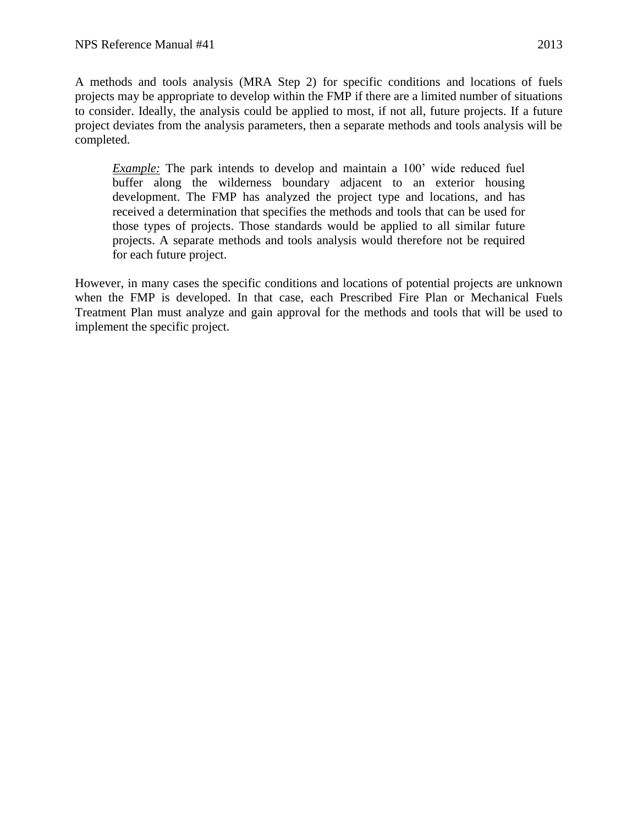A methods and tools analysis (MRA Step 2) for specific conditions and locations of fuels projects may be appropriate to develop within the FMP if there are a limited number of situations to consider. Ideally, the analysis could be applied to most, if not all, future projects. If a future project deviates from the analysis parameters, then a separate methods and tools analysis will be completed.

*Example:* The park intends to develop and maintain a 100' wide reduced fuel buffer along the wilderness boundary adjacent to an exterior housing development. The FMP has analyzed the project type and locations, and has received a determination that specifies the methods and tools that can be used for those types of projects. Those standards would be applied to all similar future projects. A separate methods and tools analysis would therefore not be required for each future project.

However, in many cases the specific conditions and locations of potential projects are unknown when the FMP is developed. In that case, each Prescribed Fire Plan or Mechanical Fuels Treatment Plan must analyze and gain approval for the methods and tools that will be used to implement the specific project.